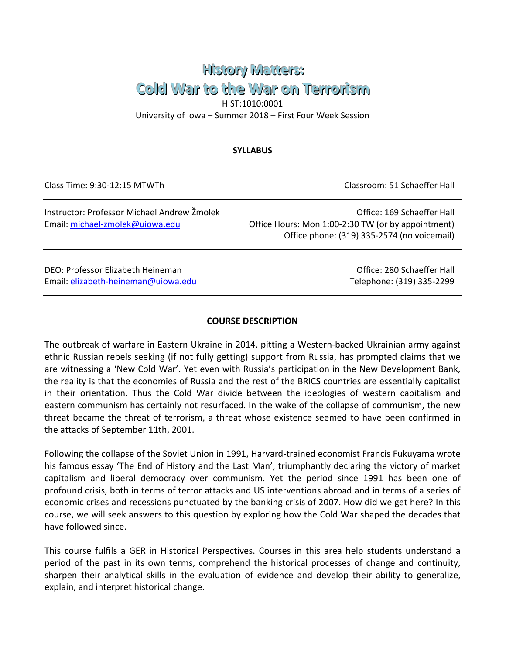# **History Matters:** Cold War to the War on Terrorism HIST:1010:0001 University of Iowa – Summer 2018 – First Four Week Session

# **SYLLABUS**

Class Time: 9:30-12:15 MTWTh Classroom: 51 Schaeffer Hall

Instructor: Professor Michael Andrew Žmolek Office: 169 Schaeffer Hall Email: [michael-zmolek@uiowa.edu](mailto:michael-zmolek@uiowa.edu) Office Hours: Mon 1:00-2:30 TW (or by appointment) Office phone: (319) 335-2574 (no voicemail)

DEO: Professor Elizabeth Heineman Office: 280 Schaeffer Hall Email: [elizabeth-heineman@uiowa.edu](mailto:elizabeth-heineman@uiowa.edu) Telephone: (319) 335-2299

### **COURSE DESCRIPTION**

The outbreak of warfare in Eastern Ukraine in 2014, pitting a Western-backed Ukrainian army against ethnic Russian rebels seeking (if not fully getting) support from Russia, has prompted claims that we are witnessing a 'New Cold War'. Yet even with Russia's participation in the New Development Bank, the reality is that the economies of Russia and the rest of the BRICS countries are essentially capitalist in their orientation. Thus the Cold War divide between the ideologies of western capitalism and eastern communism has certainly not resurfaced. In the wake of the collapse of communism, the new threat became the threat of terrorism, a threat whose existence seemed to have been confirmed in the attacks of September 11th, 2001.

Following the collapse of the Soviet Union in 1991, Harvard-trained economist Francis Fukuyama wrote his famous essay 'The End of History and the Last Man', triumphantly declaring the victory of market capitalism and liberal democracy over communism. Yet the period since 1991 has been one of profound crisis, both in terms of terror attacks and US interventions abroad and in terms of a series of economic crises and recessions punctuated by the banking crisis of 2007. How did we get here? In this course, we will seek answers to this question by exploring how the Cold War shaped the decades that have followed since.

This course fulfils a GER in Historical Perspectives. Courses in this area help students understand a period of the past in its own terms, comprehend the historical processes of change and continuity, sharpen their analytical skills in the evaluation of evidence and develop their ability to generalize, explain, and interpret historical change.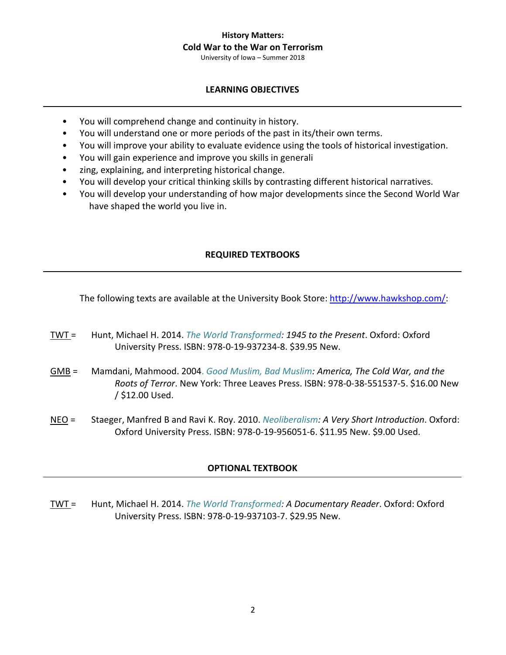University of Iowa – Summer 2018

# **LEARNING OBJECTIVES**

- You will comprehend change and continuity in history.
- You will understand one or more periods of the past in its/their own terms.
- You will improve your ability to evaluate evidence using the tools of historical investigation.
- You will gain experience and improve you skills in generali
- zing, explaining, and interpreting historical change.
- You will develop your critical thinking skills by contrasting different historical narratives.
- You will develop your understanding of how major developments since the Second World War have shaped the world you live in.

# **REQUIRED TEXTBOOKS**

The following texts are available at the University Book Store: [http://www.hawkshop.com/:](http://www.hawkshop.com/)

- TWT = Hunt, Michael H. 2014. *The World Transformed: 1945 to the Present*. Oxford: Oxford University Press. ISBN: 978-0-19-937234-8. \$39.95 New.
- GMB = Mamdani, Mahmood. 2004. *Good Muslim, Bad Muslim: America, The Cold War, and the Roots of Terror*. New York: Three Leaves Press. ISBN: 978-0-38-551537-5. \$16.00 New / \$12.00 Used.
- NEO = Staeger, Manfred B and Ravi K. Roy. 2010. *Neoliberalism: A Very Short Introduction*. Oxford: Oxford University Press. ISBN: 978-0-19-956051-6. \$11.95 New. \$9.00 Used.

### **OPTIONAL TEXTBOOK**

TWT = Hunt, Michael H. 2014. *The World Transformed: A Documentary Reader*. Oxford: Oxford University Press. ISBN: 978-0-19-937103-7. \$29.95 New.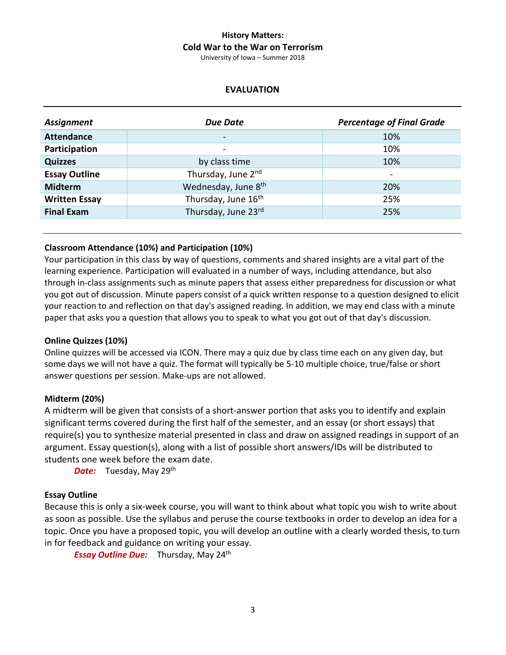University of Iowa – Summer 2018

### **EVALUATION**

| Assignment           | <b>Due Date</b>                 | <b>Percentage of Final Grade</b> |
|----------------------|---------------------------------|----------------------------------|
| <b>Attendance</b>    | $\overline{\phantom{a}}$        | 10%                              |
| Participation        | $\overline{\phantom{a}}$        | 10%                              |
| <b>Quizzes</b>       | by class time                   | 10%                              |
| <b>Essay Outline</b> | Thursday, June 2nd              |                                  |
| <b>Midterm</b>       | Wednesday, June 8 <sup>th</sup> | 20%                              |
| <b>Written Essay</b> | Thursday, June 16 <sup>th</sup> | 25%                              |
| <b>Final Exam</b>    | Thursday, June 23rd             | 25%                              |
|                      |                                 |                                  |

#### **Classroom Attendance (10%) and Participation (10%)**

Your participation in this class by way of questions, comments and shared insights are a vital part of the learning experience. Participation will evaluated in a number of ways, including attendance, but also through in-class assignments such as minute papers that assess either preparedness for discussion or what you got out of discussion. Minute papers consist of a quick written response to a question designed to elicit your reaction to and reflection on that day's assigned reading. In addition, we may end class with a minute paper that asks you a question that allows you to speak to what you got out of that day's discussion.

#### **Online Quizzes (10%)**

Online quizzes will be accessed via ICON. There may a quiz due by class time each on any given day, but some days we will not have a quiz. The format will typically be 5-10 multiple choice, true/false or short answer questions per session. Make-ups are not allowed.

#### **Midterm (20%)**

A midterm will be given that consists of a short-answer portion that asks you to identify and explain significant terms covered during the first half of the semester, and an essay (or short essays) that require(s) you to synthesize material presented in class and draw on assigned readings in support of an argument. Essay question(s), along with a list of possible short answers/IDs will be distributed to students one week before the exam date.

**Date:** Tuesday, May 29<sup>th</sup>

#### **Essay Outline**

Because this is only a six-week course, you will want to think about what topic you wish to write about as soon as possible. Use the syllabus and peruse the course textbooks in order to develop an idea for a topic. Once you have a proposed topic, you will develop an outline with a clearly worded thesis, to turn in for feedback and guidance on writing your essay.

**Essay Outline Due:** Thursday, May 24<sup>th</sup>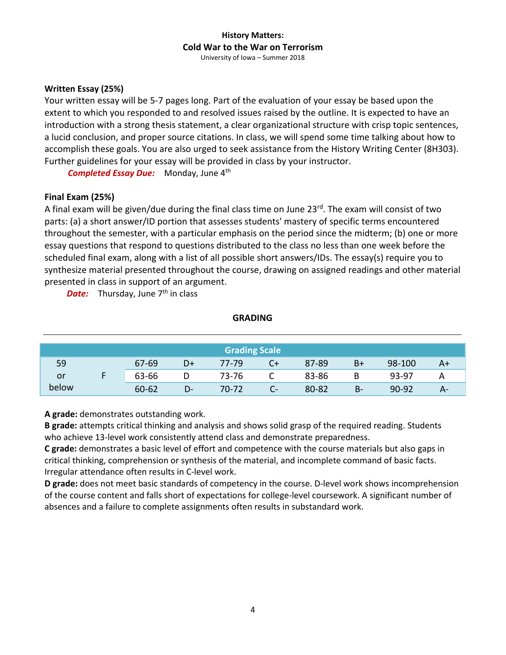University of Iowa – Summer 2018

### **Written Essay (25%)**

Your written essay will be 5-7 pages long. Part of the evaluation of your essay be based upon the extent to which you responded to and resolved issues raised by the outline. It is expected to have an introduction with a strong thesis statement, a clear organizational structure with crisp topic sentences, a lucid conclusion, and proper source citations. In class, we will spend some time talking about how to accomplish these goals. You are also urged to seek assistance from the History Writing Center (8H303). Further guidelines for your essay will be provided in class by your instructor.

*Completed Essay Due:* Monday, June 4<sup>th</sup>

#### **Final Exam (25%)**

A final exam will be given/due during the final class time on June  $23^{rd}$ . The exam will consist of two parts: (a) a short answer/ID portion that assesses students' mastery of specific terms encountered throughout the semester, with a particular emphasis on the period since the midterm; (b) one or more essay questions that respond to questions distributed to the class no less than one week before the scheduled final exam, along with a list of all possible short answers/IDs. The essay(s) require you to synthesize material presented throughout the course, drawing on assigned readings and other material presented in class in support of an argument.

*Date:* Thursday, June 7<sup>th</sup> in class

#### **GRADING**

|       |           |    | <b>Grading Scale</b> |    |       |    |           |      |
|-------|-----------|----|----------------------|----|-------|----|-----------|------|
| 59    | 67-69     | D+ | 77-79                |    | 87-89 | B+ | 98-100    | $A+$ |
| or    | 63-66     |    | 73-76                | ◡  | 83-86 | В  | 93-97     | А    |
| below | $60 - 62$ | D- | 70-72                | U- | 80-82 | B- | $90 - 92$ | А-   |

**A grade:** demonstrates outstanding work.

**B grade:** attempts critical thinking and analysis and shows solid grasp of the required reading. Students who achieve 13-level work consistently attend class and demonstrate preparedness.

**C grade:** demonstrates a basic level of effort and competence with the course materials but also gaps in critical thinking, comprehension or synthesis of the material, and incomplete command of basic facts. Irregular attendance often results in C-level work.

**D grade:** does not meet basic standards of competency in the course. D-level work shows incomprehension of the course content and falls short of expectations for college-level coursework. A significant number of absences and a failure to complete assignments often results in substandard work.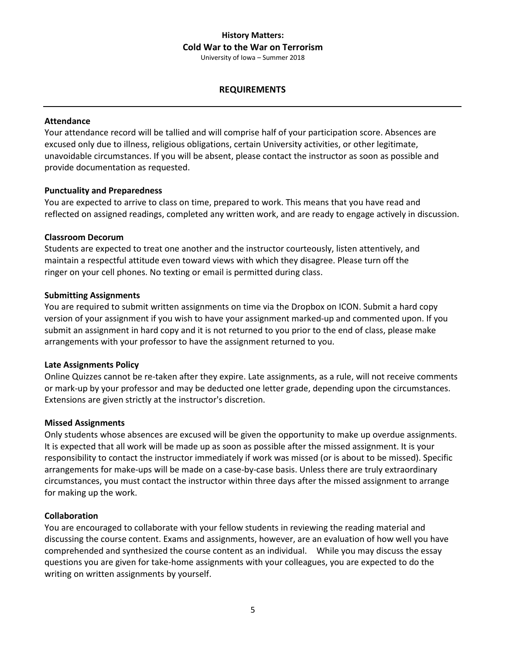University of Iowa – Summer 2018

### **REQUIREMENTS**

#### **Attendance**

Your attendance record will be tallied and will comprise half of your participation score. Absences are excused only due to illness, religious obligations, certain University activities, or other legitimate, unavoidable circumstances. If you will be absent, please contact the instructor as soon as possible and provide documentation as requested.

#### **Punctuality and Preparedness**

You are expected to arrive to class on time, prepared to work. This means that you have read and reflected on assigned readings, completed any written work, and are ready to engage actively in discussion.

#### **Classroom Decorum**

Students are expected to treat one another and the instructor courteously, listen attentively, and maintain a respectful attitude even toward views with which they disagree. Please turn off the ringer on your cell phones. No texting or email is permitted during class.

#### **Submitting Assignments**

You are required to submit written assignments on time via the Dropbox on ICON. Submit a hard copy version of your assignment if you wish to have your assignment marked-up and commented upon. If you submit an assignment in hard copy and it is not returned to you prior to the end of class, please make arrangements with your professor to have the assignment returned to you.

#### **Late Assignments Policy**

Online Quizzes cannot be re-taken after they expire. Late assignments, as a rule, will not receive comments or mark-up by your professor and may be deducted one letter grade, depending upon the circumstances. Extensions are given strictly at the instructor's discretion.

#### **Missed Assignments**

Only students whose absences are excused will be given the opportunity to make up overdue assignments. It is expected that all work will be made up as soon as possible after the missed assignment. It is your responsibility to contact the instructor immediately if work was missed (or is about to be missed). Specific arrangements for make-ups will be made on a case-by-case basis. Unless there are truly extraordinary circumstances, you must contact the instructor within three days after the missed assignment to arrange for making up the work.

#### **Collaboration**

You are encouraged to collaborate with your fellow students in reviewing the reading material and discussing the course content. Exams and assignments, however, are an evaluation of how well you have comprehended and synthesized the course content as an individual. While you may discuss the essay questions you are given for take-home assignments with your colleagues, you are expected to do the writing on written assignments by yourself.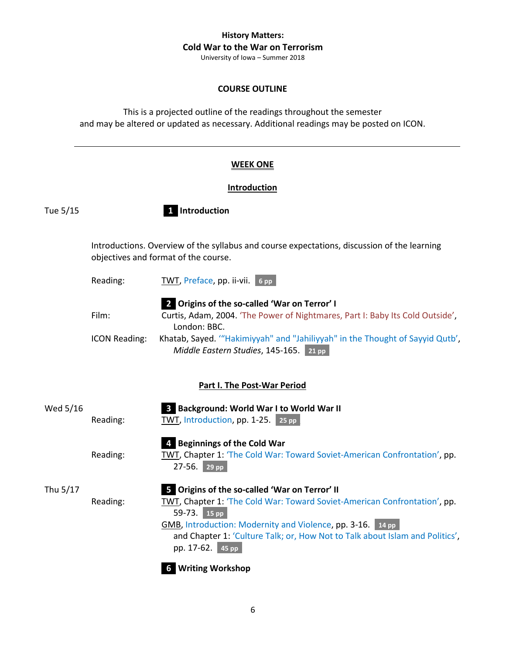University of Iowa – Summer 2018

### **COURSE OUTLINE**

This is a projected outline of the readings throughout the semester and may be altered or updated as necessary. Additional readings may be posted on ICON.

### **WEEK ONE**

#### **Introduction**

Tue 5/15 **\_1\_ Introduction**

Introductions. Overview of the syllabus and course expectations, discussion of the learning objectives and format of the course.

- Reading: TWT, Preface, pp. ii-vii. 6 pp
- **\_2\_ Origins of the so-called 'War on Terror' I** Film: Curtis, Adam, 2004. 'The Power of Nightmares, Part I: Baby Its Cold Outside', London: BBC. ICON Reading: Khatab, Sayed. '"Hakimiyyah" and "Jahiliyyah" in the Thought of Sayyid Qutb', *Middle Eastern Studies*, 145-165. 21 pp

### **Part I. The Post-War Period**

| Wed 5/16 | Reading: | <b>3</b> Background: World War I to World War II<br>TWT, Introduction, pp. 1-25. 25 pp                                                                                                                                                                                                                          |
|----------|----------|-----------------------------------------------------------------------------------------------------------------------------------------------------------------------------------------------------------------------------------------------------------------------------------------------------------------|
|          | Reading: | 4 Beginnings of the Cold War<br>TWT, Chapter 1: 'The Cold War: Toward Soviet-American Confrontation', pp.<br>$27-56.$ 29 pp                                                                                                                                                                                     |
| Thu 5/17 | Reading: | 5 Origins of the so-called 'War on Terror' II<br>TWT, Chapter 1: 'The Cold War: Toward Soviet-American Confrontation', pp.<br>59-73. 15 pp<br>GMB, Introduction: Modernity and Violence, pp. 3-16. 14 pp<br>and Chapter 1: 'Culture Talk; or, How Not to Talk about Islam and Politics',<br>pp. 17-62.<br>45 pp |

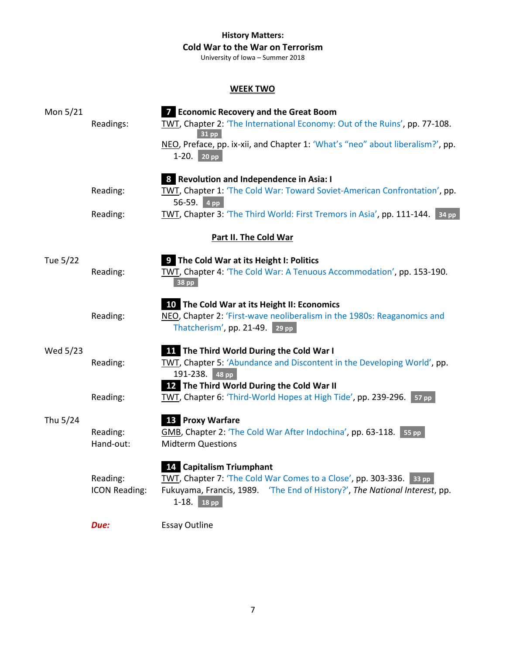University of Iowa – Summer 2018

# **WEEK TWO**

| Mon 5/21 | Readings:                        | <b>7</b> Economic Recovery and the Great Boom<br>TWT, Chapter 2: 'The International Economy: Out of the Ruins', pp. 77-108.<br>$31$ pp<br>NEO, Preface, pp. ix-xii, and Chapter 1: 'What's "neo" about liberalism?', pp.<br>$1-20.$ 20 pp |
|----------|----------------------------------|-------------------------------------------------------------------------------------------------------------------------------------------------------------------------------------------------------------------------------------------|
|          | Reading:                         | 8 Revolution and Independence in Asia: I<br>TWT, Chapter 1: 'The Cold War: Toward Soviet-American Confrontation', pp.<br>56-59. 4 pp                                                                                                      |
|          | Reading:                         | TWT, Chapter 3: 'The Third World: First Tremors in Asia', pp. 111-144. 34 pp                                                                                                                                                              |
|          |                                  | Part II. The Cold War                                                                                                                                                                                                                     |
| Tue 5/22 | Reading:                         | <b>9</b> The Cold War at its Height I: Politics<br>TWT, Chapter 4: 'The Cold War: A Tenuous Accommodation', pp. 153-190.<br>38 pp                                                                                                         |
|          | Reading:                         | 10 The Cold War at its Height II: Economics<br>NEO, Chapter 2: 'First-wave neoliberalism in the 1980s: Reaganomics and<br>Thatcherism', pp. 21-49. 29 pp.                                                                                 |
| Wed 5/23 | Reading:                         | <b>11</b> The Third World During the Cold War I<br>TWT, Chapter 5: 'Abundance and Discontent in the Developing World', pp.<br>191-238. 48 pp                                                                                              |
|          | Reading:                         | <b>12</b> The Third World During the Cold War II<br>TWT, Chapter 6: 'Third-World Hopes at High Tide', pp. 239-296. 57 pp                                                                                                                  |
| Thu 5/24 | Reading:<br>Hand-out:            | 13 Proxy Warfare<br>GMB, Chapter 2: 'The Cold War After Indochina', pp. 63-118. 55 pp<br><b>Midterm Questions</b>                                                                                                                         |
|          | Reading:<br><b>ICON Reading:</b> | 14 Capitalism Triumphant<br>TWT, Chapter 7: 'The Cold War Comes to a Close', pp. 303-336. 33 pp.<br>Fukuyama, Francis, 1989. 'The End of History?', The National Interest, pp.<br>$1-18.$ 18 pp                                           |
|          | Due:                             | <b>Essay Outline</b>                                                                                                                                                                                                                      |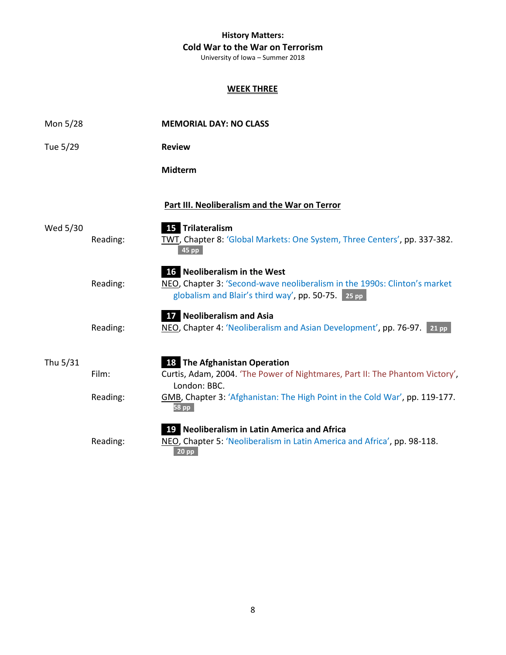University of Iowa – Summer 2018

# **WEEK THREE**

| Mon 5/28 |                   | <b>MEMORIAL DAY: NO CLASS</b>                                                                                                                                                                                               |
|----------|-------------------|-----------------------------------------------------------------------------------------------------------------------------------------------------------------------------------------------------------------------------|
| Tue 5/29 |                   | <b>Review</b>                                                                                                                                                                                                               |
|          |                   | <b>Midterm</b>                                                                                                                                                                                                              |
|          |                   | Part III. Neoliberalism and the War on Terror                                                                                                                                                                               |
| Wed 5/30 | Reading:          | 15 Trilateralism<br>TWT, Chapter 8: 'Global Markets: One System, Three Centers', pp. 337-382.<br>45 pp                                                                                                                      |
|          | Reading:          | 16 Neoliberalism in the West<br>NEO, Chapter 3: 'Second-wave neoliberalism in the 1990s: Clinton's market<br>globalism and Blair's third way', pp. 50-75. 25 pp                                                             |
|          | Reading:          | 17 Neoliberalism and Asia<br>NEO, Chapter 4: 'Neoliberalism and Asian Development', pp. 76-97. 21 pp                                                                                                                        |
| Thu 5/31 | Film:<br>Reading: | <b>18</b> The Afghanistan Operation<br>Curtis, Adam, 2004. 'The Power of Nightmares, Part II: The Phantom Victory',<br>London: BBC.<br>GMB, Chapter 3: 'Afghanistan: The High Point in the Cold War', pp. 119-177.<br>58 pp |
|          | Reading:          | <b>19</b> Neoliberalism in Latin America and Africa<br>NEO, Chapter 5: 'Neoliberalism in Latin America and Africa', pp. 98-118.<br>$20$ pp                                                                                  |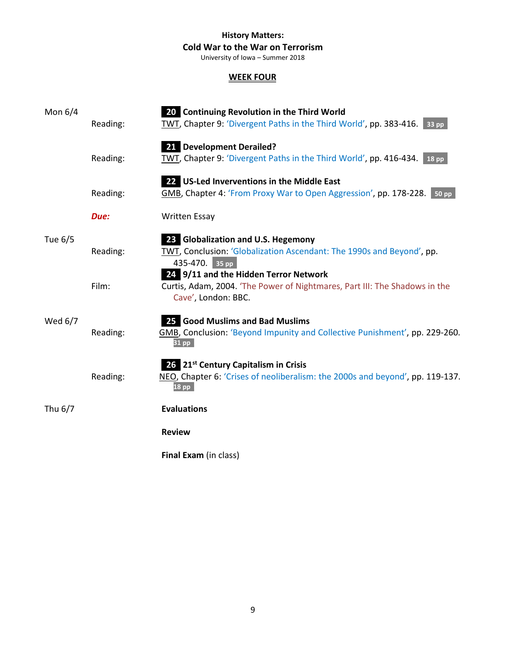University of Iowa – Summer 2018

### **WEEK FOUR**

| Mon $6/4$ | Reading: | 20 Continuing Revolution in the Third World<br>TWT, Chapter 9: 'Divergent Paths in the Third World', pp. 383-416. 33 pp.                                               |
|-----------|----------|------------------------------------------------------------------------------------------------------------------------------------------------------------------------|
|           | Reading: | 21 Development Derailed?<br>TWT, Chapter 9: 'Divergent Paths in the Third World', pp. 416-434. 18 pp                                                                   |
|           | Reading: | 22 US-Led Inverventions in the Middle East<br>GMB, Chapter 4: 'From Proxy War to Open Aggression', pp. 178-228. 50 pp                                                  |
|           | Due:     | <b>Written Essay</b>                                                                                                                                                   |
| Tue 6/5   | Reading: | 23 Globalization and U.S. Hegemony<br>TWT, Conclusion: 'Globalization Ascendant: The 1990s and Beyond', pp.<br>435-470. 35 pp<br>24 9/11 and the Hidden Terror Network |
|           | Film:    | Curtis, Adam, 2004. 'The Power of Nightmares, Part III: The Shadows in the<br>Cave', London: BBC.                                                                      |
| Wed 6/7   | Reading: | 25 Good Muslims and Bad Muslims<br>GMB, Conclusion: 'Beyond Impunity and Collective Punishment', pp. 229-260.<br>$31$ pp                                               |
|           | Reading: | 26 21 <sup>st</sup> Century Capitalism in Crisis<br>NEO, Chapter 6: 'Crises of neoliberalism: the 2000s and beyond', pp. 119-137.<br>$18$ pp                           |
| Thu 6/7   |          | <b>Evaluations</b>                                                                                                                                                     |
|           |          | <b>Review</b>                                                                                                                                                          |
|           |          | Final Exam (in class)                                                                                                                                                  |

9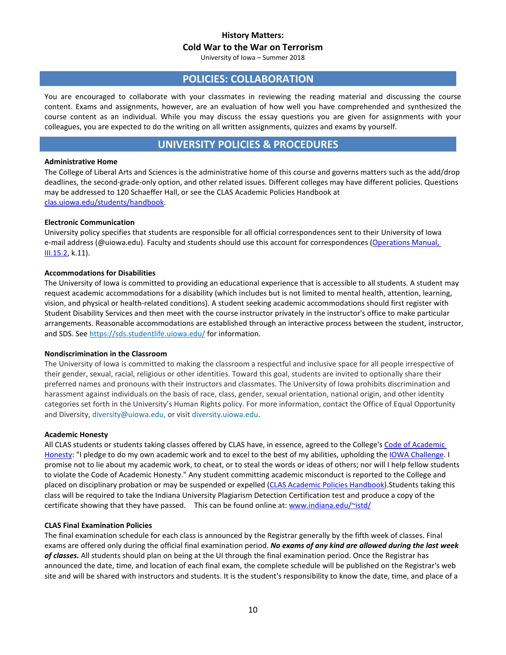University of Iowa – Summer 2018

### **POLICIES: COLLABORATION**

You are encouraged to collaborate with your classmates in reviewing the reading material and discussing the course content. Exams and assignments, however, are an evaluation of how well you have comprehended and synthesized the course content as an individual. While you may discuss the essay questions you are given for assignments with your colleagues, you are expected to do the writing on all written assignments, quizzes and exams by yourself.

# **UNIVERSITY POLICIES & PROCEDURES**

#### **Administrative Home**

The College of Liberal Arts and Sciences is the administrative home of this course and governs matters such as the add/drop deadlines, the second-grade-only option, and other related issues. Different colleges may have different policies. Questions may be addressed to 120 Schaeffer Hall, or see the CLAS Academic Policies Handbook at [clas.uiowa.edu/students/handbook.](http://clas.uiowa.edu/students/handbook)

#### **Electronic Communication**

University policy specifies that students are responsible for all official correspondences sent to their University of Iowa e-mail address (@uiowa.edu). Faculty and students should use this account for correspondences [\(Operations Manual,](http://www.uiowa.edu/%7Eour/opmanual/iii/15.htm#152)  [III.15.2,](http://www.uiowa.edu/%7Eour/opmanual/iii/15.htm#152) k.11).

#### **Accommodations for Disabilities**

The University of Iowa is committed to providing an educational experience that is accessible to all students. A student may request academic accommodations for a disability (which includes but is not limited to mental health, attention, learning, vision, and physical or health-related conditions). A student seeking academic accommodations should first register with Student Disability Services and then meet with the course instructor privately in the instructor's office to make particular arrangements. Reasonable accommodations are established through an interactive process between the student, instructor, and SDS. Se[e https://sds.studentlife.uiowa.edu/](https://sds.studentlife.uiowa.edu/) for information.

#### **Nondiscrimination in the Classroom**

The University of Iowa is committed to making the classroom a respectful and inclusive space for all people irrespective of their gender, sexual, racial, religious or other identities. Toward this goal, students are invited to optionally share their preferred names and pronouns with their instructors and classmates. The University of Iowa prohibits discrimination and harassment against individuals on the basis of race, class, gender, sexual orientation, national origin, and other identity categories set forth in the University's Human Rights policy. For more information, contact the Office of Equal Opportunity and Diversity[, diversity@uiowa.edu,](mailto:diversity@uiowa.edu) or visi[t diversity.uiowa.edu.](https://diversity.uiowa.edu/office/equal-opportunity-and-diversity)

#### **Academic Honesty**

All CLAS students or students taking classes offered by CLAS have, in essence, agreed to the College's Code of Academic [Honesty:](http://clas.uiowa.edu/students/handbook/academic-fraud-honor-code) "I pledge to do my own academic work and to excel to the best of my abilities, upholding th[e IOWA Challenge.](http://thechallenge.uiowa.edu/) I promise not to lie about my academic work, to cheat, or to steal the words or ideas of others; nor will I help fellow students to violate the Code of Academic Honesty." Any student committing academic misconduct is reported to the College and placed on disciplinary probation or may be suspended or expelled [\(CLAS Academic Policies Handbook\)](http://clas.uiowa.edu/students/handbook). Students taking this class will be required to take the Indiana University Plagiarism Detection Certification test and produce a copy of the certificate showing that they have passed. This can be found online at: www.indiana.edu/~istd/

#### **CLAS Final Examination Policies**

The final examination schedule for each class is announced by the Registrar generally by the fifth week of classes. Final exams are offered only during the official final examination period. *No exams of any kind are allowed during the last week of classes.* All students should plan on being at the UI through the final examination period. Once the Registrar has announced the date, time, and location of each final exam, the complete schedule will be published on the Registrar's web site and will be shared with instructors and students. It is the student's responsibility to know the date, time, and place of a